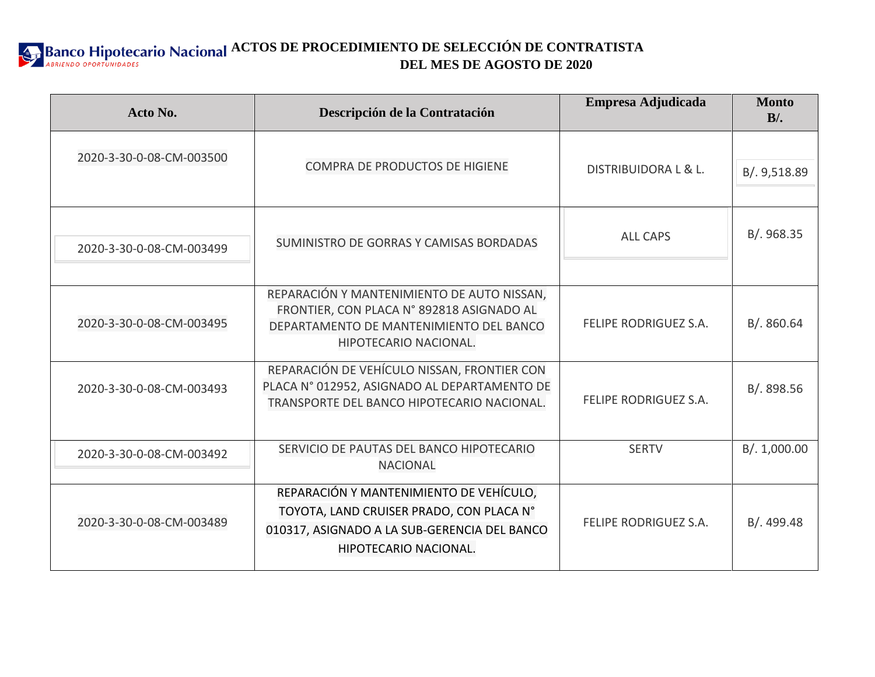**ACTOS DE PROCEDIMIENTO DE SELECCIÓN DE CONTRATISTA DEL MES DE AGOSTO DE 2020**

| Acto No.                 | Descripción de la Contratación                                                                                                                               | Empresa Adjudicada           | <b>Monto</b><br>$B$ . |
|--------------------------|--------------------------------------------------------------------------------------------------------------------------------------------------------------|------------------------------|-----------------------|
| 2020-3-30-0-08-CM-003500 | COMPRA DE PRODUCTOS DE HIGIENE                                                                                                                               | DISTRIBUIDORA L & L.         | B/. 9,518.89          |
| 2020-3-30-0-08-CM-003499 | SUMINISTRO DE GORRAS Y CAMISAS BORDADAS                                                                                                                      | <b>ALL CAPS</b>              | B/. 968.35            |
| 2020-3-30-0-08-CM-003495 | REPARACIÓN Y MANTENIMIENTO DE AUTO NISSAN,<br>FRONTIER, CON PLACA N° 892818 ASIGNADO AL<br>DEPARTAMENTO DE MANTENIMIENTO DEL BANCO<br>HIPOTECARIO NACIONAL.  | <b>FELIPE RODRIGUEZ S.A.</b> | B/0.860.64            |
| 2020-3-30-0-08-CM-003493 | REPARACIÓN DE VEHÍCULO NISSAN, FRONTIER CON<br>PLACA N° 012952, ASIGNADO AL DEPARTAMENTO DE<br>TRANSPORTE DEL BANCO HIPOTECARIO NACIONAL.                    | <b>FELIPE RODRIGUEZ S.A.</b> | B/. 898.56            |
| 2020-3-30-0-08-CM-003492 | SERVICIO DE PAUTAS DEL BANCO HIPOTECARIO<br><b>NACIONAL</b>                                                                                                  | <b>SERTV</b>                 | B/. 1,000.00          |
| 2020-3-30-0-08-CM-003489 | REPARACIÓN Y MANTENIMIENTO DE VEHÍCULO,<br>TOYOTA, LAND CRUISER PRADO, CON PLACA N°<br>010317, ASIGNADO A LA SUB-GERENCIA DEL BANCO<br>HIPOTECARIO NACIONAL. | FELIPE RODRIGUEZ S.A.        | B/. 499.48            |